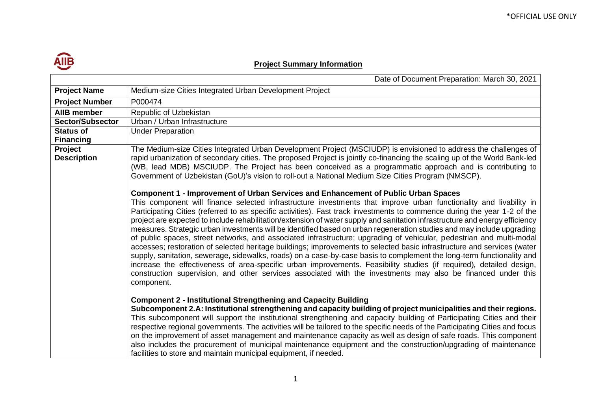

## **Project Summary Information**

|                               | Date of Document Preparation: March 30, 2021                                                                                                                                                                                                                                                                                                                                                                                                                                                                                                                                                                                                                                                                                                                                                                                                                                                                                                                                                                                                                                                                                                                                                                                           |
|-------------------------------|----------------------------------------------------------------------------------------------------------------------------------------------------------------------------------------------------------------------------------------------------------------------------------------------------------------------------------------------------------------------------------------------------------------------------------------------------------------------------------------------------------------------------------------------------------------------------------------------------------------------------------------------------------------------------------------------------------------------------------------------------------------------------------------------------------------------------------------------------------------------------------------------------------------------------------------------------------------------------------------------------------------------------------------------------------------------------------------------------------------------------------------------------------------------------------------------------------------------------------------|
| <b>Project Name</b>           | Medium-size Cities Integrated Urban Development Project                                                                                                                                                                                                                                                                                                                                                                                                                                                                                                                                                                                                                                                                                                                                                                                                                                                                                                                                                                                                                                                                                                                                                                                |
| <b>Project Number</b>         | P000474                                                                                                                                                                                                                                                                                                                                                                                                                                                                                                                                                                                                                                                                                                                                                                                                                                                                                                                                                                                                                                                                                                                                                                                                                                |
| AllB member                   | Republic of Uzbekistan                                                                                                                                                                                                                                                                                                                                                                                                                                                                                                                                                                                                                                                                                                                                                                                                                                                                                                                                                                                                                                                                                                                                                                                                                 |
| <b>Sector/Subsector</b>       | Urban / Urban Infrastructure                                                                                                                                                                                                                                                                                                                                                                                                                                                                                                                                                                                                                                                                                                                                                                                                                                                                                                                                                                                                                                                                                                                                                                                                           |
| <b>Status of</b>              | <b>Under Preparation</b>                                                                                                                                                                                                                                                                                                                                                                                                                                                                                                                                                                                                                                                                                                                                                                                                                                                                                                                                                                                                                                                                                                                                                                                                               |
| <b>Financing</b>              |                                                                                                                                                                                                                                                                                                                                                                                                                                                                                                                                                                                                                                                                                                                                                                                                                                                                                                                                                                                                                                                                                                                                                                                                                                        |
| Project<br><b>Description</b> | The Medium-size Cities Integrated Urban Development Project (MSCIUDP) is envisioned to address the challenges of<br>rapid urbanization of secondary cities. The proposed Project is jointly co-financing the scaling up of the World Bank-led<br>(WB, lead MDB) MSCIUDP. The Project has been conceived as a programmatic approach and is contributing to<br>Government of Uzbekistan (GoU)'s vision to roll-out a National Medium Size Cities Program (NMSCP).                                                                                                                                                                                                                                                                                                                                                                                                                                                                                                                                                                                                                                                                                                                                                                        |
|                               | <b>Component 1 - Improvement of Urban Services and Enhancement of Public Urban Spaces</b><br>This component will finance selected infrastructure investments that improve urban functionality and livability in<br>Participating Cities (referred to as specific activities). Fast track investments to commence during the year 1-2 of the<br>project are expected to include rehabilitation/extension of water supply and sanitation infrastructure and energy efficiency<br>measures. Strategic urban investments will be identified based on urban regeneration studies and may include upgrading<br>of public spaces, street networks, and associated infrastructure; upgrading of vehicular, pedestrian and multi-modal<br>accesses; restoration of selected heritage buildings; improvements to selected basic infrastructure and services (water<br>supply, sanitation, sewerage, sidewalks, roads) on a case-by-case basis to complement the long-term functionality and<br>increase the effectiveness of area-specific urban improvements. Feasibility studies (if required), detailed design,<br>construction supervision, and other services associated with the investments may also be financed under this<br>component. |
|                               | <b>Component 2 - Institutional Strengthening and Capacity Building</b><br>Subcomponent 2.A: Institutional strengthening and capacity building of project municipalities and their regions.<br>This subcomponent will support the institutional strengthening and capacity building of Participating Cities and their<br>respective regional governments. The activities will be tailored to the specific needs of the Participating Cities and focus<br>on the improvement of asset management and maintenance capacity as well as design of safe roads. This component<br>also includes the procurement of municipal maintenance equipment and the construction/upgrading of maintenance<br>facilities to store and maintain municipal equipment, if needed.                                                                                                                                                                                                                                                                                                                                                                                                                                                                          |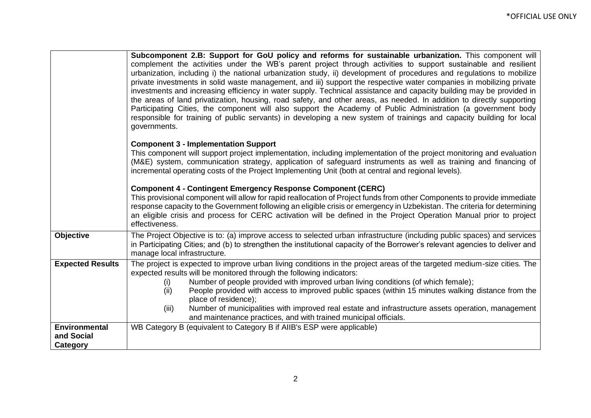|                                                | Subcomponent 2.B: Support for GoU policy and reforms for sustainable urbanization. This component will<br>complement the activities under the WB's parent project through activities to support sustainable and resilient<br>urbanization, including i) the national urbanization study, ii) development of procedures and regulations to mobilize<br>private investments in solid waste management, and iii) support the respective water companies in mobilizing private<br>investments and increasing efficiency in water supply. Technical assistance and capacity building may be provided in<br>the areas of land privatization, housing, road safety, and other areas, as needed. In addition to directly supporting<br>Participating Cities, the component will also support the Academy of Public Administration (a government body<br>responsible for training of public servants) in developing a new system of trainings and capacity building for local<br>governments. |  |  |  |  |  |
|------------------------------------------------|--------------------------------------------------------------------------------------------------------------------------------------------------------------------------------------------------------------------------------------------------------------------------------------------------------------------------------------------------------------------------------------------------------------------------------------------------------------------------------------------------------------------------------------------------------------------------------------------------------------------------------------------------------------------------------------------------------------------------------------------------------------------------------------------------------------------------------------------------------------------------------------------------------------------------------------------------------------------------------------|--|--|--|--|--|
|                                                | <b>Component 3 - Implementation Support</b><br>This component will support project implementation, including implementation of the project monitoring and evaluation<br>(M&E) system, communication strategy, application of safeguard instruments as well as training and financing of<br>incremental operating costs of the Project Implementing Unit (both at central and regional levels).                                                                                                                                                                                                                                                                                                                                                                                                                                                                                                                                                                                       |  |  |  |  |  |
|                                                | <b>Component 4 - Contingent Emergency Response Component (CERC)</b><br>This provisional component will allow for rapid reallocation of Project funds from other Components to provide immediate<br>response capacity to the Government following an eligible crisis or emergency in Uzbekistan. The criteria for determining<br>an eligible crisis and process for CERC activation will be defined in the Project Operation Manual prior to project<br>effectiveness.                                                                                                                                                                                                                                                                                                                                                                                                                                                                                                                |  |  |  |  |  |
| <b>Objective</b>                               | The Project Objective is to: (a) improve access to selected urban infrastructure (including public spaces) and services<br>in Participating Cities; and (b) to strengthen the institutional capacity of the Borrower's relevant agencies to deliver and<br>manage local infrastructure.                                                                                                                                                                                                                                                                                                                                                                                                                                                                                                                                                                                                                                                                                              |  |  |  |  |  |
| <b>Expected Results</b>                        | The project is expected to improve urban living conditions in the project areas of the targeted medium-size cities. The<br>expected results will be monitored through the following indicators:<br>Number of people provided with improved urban living conditions (of which female);<br>(i)<br>People provided with access to improved public spaces (within 15 minutes walking distance from the<br>(ii)<br>place of residence);<br>Number of municipalities with improved real estate and infrastructure assets operation, management<br>(iii)<br>and maintenance practices, and with trained municipal officials.                                                                                                                                                                                                                                                                                                                                                                |  |  |  |  |  |
| <b>Environmental</b><br>and Social<br>Category | WB Category B (equivalent to Category B if AIIB's ESP were applicable)                                                                                                                                                                                                                                                                                                                                                                                                                                                                                                                                                                                                                                                                                                                                                                                                                                                                                                               |  |  |  |  |  |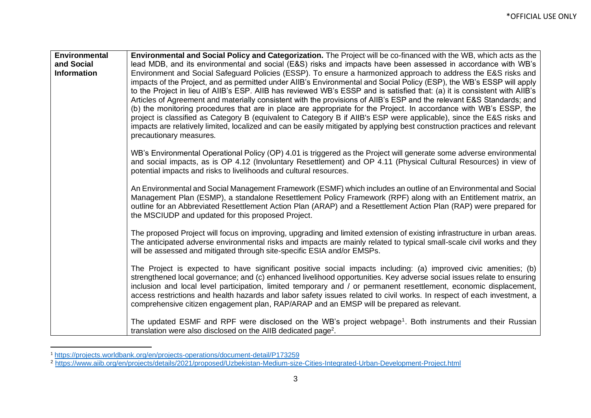| <b>Environmental</b> | Environmental and Social Policy and Categorization. The Project will be co-financed with the WB, which acts as the                                                                                                                                                                                                                                                                                                                                                                                                                                                                                                                                                                                                                                                                                                                                                                                    |
|----------------------|-------------------------------------------------------------------------------------------------------------------------------------------------------------------------------------------------------------------------------------------------------------------------------------------------------------------------------------------------------------------------------------------------------------------------------------------------------------------------------------------------------------------------------------------------------------------------------------------------------------------------------------------------------------------------------------------------------------------------------------------------------------------------------------------------------------------------------------------------------------------------------------------------------|
| and Social           | lead MDB, and its environmental and social (E&S) risks and impacts have been assessed in accordance with WB's                                                                                                                                                                                                                                                                                                                                                                                                                                                                                                                                                                                                                                                                                                                                                                                         |
| <b>Information</b>   | Environment and Social Safeguard Policies (ESSP). To ensure a harmonized approach to address the E&S risks and<br>impacts of the Project, and as permitted under AIIB's Environmental and Social Policy (ESP), the WB's ESSP will apply<br>to the Project in lieu of AIIB's ESP. AIIB has reviewed WB's ESSP and is satisfied that: (a) it is consistent with AIIB's<br>Articles of Agreement and materially consistent with the provisions of AIIB's ESP and the relevant E&S Standards; and<br>(b) the monitoring procedures that are in place are appropriate for the Project. In accordance with WB's ESSP, the<br>project is classified as Category B (equivalent to Category B if AIIB's ESP were applicable), since the E&S risks and<br>impacts are relatively limited, localized and can be easily mitigated by applying best construction practices and relevant<br>precautionary measures. |
|                      | WB's Environmental Operational Policy (OP) 4.01 is triggered as the Project will generate some adverse environmental<br>and social impacts, as is OP 4.12 (Involuntary Resettlement) and OP 4.11 (Physical Cultural Resources) in view of<br>potential impacts and risks to livelihoods and cultural resources.                                                                                                                                                                                                                                                                                                                                                                                                                                                                                                                                                                                       |
|                      | An Environmental and Social Management Framework (ESMF) which includes an outline of an Environmental and Social<br>Management Plan (ESMP), a standalone Resettlement Policy Framework (RPF) along with an Entitlement matrix, an<br>outline for an Abbreviated Resettlement Action Plan (ARAP) and a Resettlement Action Plan (RAP) were prepared for<br>the MSCIUDP and updated for this proposed Project.                                                                                                                                                                                                                                                                                                                                                                                                                                                                                          |
|                      | The proposed Project will focus on improving, upgrading and limited extension of existing infrastructure in urban areas.<br>The anticipated adverse environmental risks and impacts are mainly related to typical small-scale civil works and they<br>will be assessed and mitigated through site-specific ESIA and/or EMSPs.                                                                                                                                                                                                                                                                                                                                                                                                                                                                                                                                                                         |
|                      | The Project is expected to have significant positive social impacts including: (a) improved civic amenities; (b)<br>strengthened local governance; and (c) enhanced livelihood opportunities. Key adverse social issues relate to ensuring<br>inclusion and local level participation, limited temporary and / or permanent resettlement, economic displacement,<br>access restrictions and health hazards and labor safety issues related to civil works. In respect of each investment, a<br>comprehensive citizen engagement plan, RAP/ARAP and an EMSP will be prepared as relevant.                                                                                                                                                                                                                                                                                                              |
|                      | The updated ESMF and RPF were disclosed on the WB's project webpage <sup>1</sup> . Both instruments and their Russian<br>translation were also disclosed on the AIIB dedicated page <sup>2</sup> .                                                                                                                                                                                                                                                                                                                                                                                                                                                                                                                                                                                                                                                                                                    |

<sup>1</sup> <https://projects.worldbank.org/en/projects-operations/document-detail/P173259>

<sup>&</sup>lt;sup>2</sup> <https://www.aiib.org/en/projects/details/2021/proposed/Uzbekistan-Medium-size-Cities-Integrated-Urban-Development-Project.html>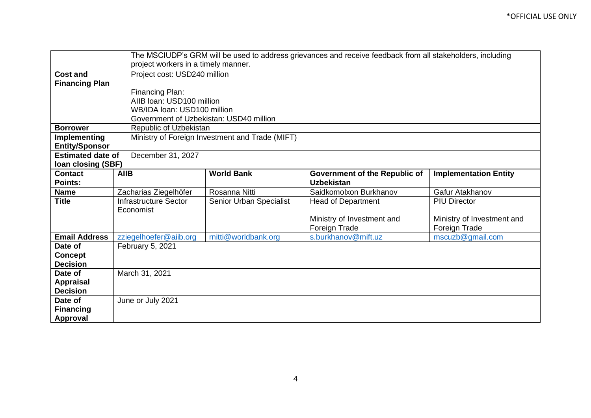|                           |                                                 | The MSCIUDP's GRM will be used to address grievances and receive feedback from all stakeholders, including |                                      |                              |  |  |
|---------------------------|-------------------------------------------------|------------------------------------------------------------------------------------------------------------|--------------------------------------|------------------------------|--|--|
|                           |                                                 | project workers in a timely manner.                                                                        |                                      |                              |  |  |
| <b>Cost and</b>           |                                                 | Project cost: USD240 million                                                                               |                                      |                              |  |  |
| <b>Financing Plan</b>     |                                                 |                                                                                                            |                                      |                              |  |  |
|                           | Financing Plan:                                 |                                                                                                            |                                      |                              |  |  |
|                           |                                                 | AIIB Ioan: USD100 million                                                                                  |                                      |                              |  |  |
|                           | WB/IDA loan: USD100 million                     |                                                                                                            |                                      |                              |  |  |
|                           | Government of Uzbekistan: USD40 million         |                                                                                                            |                                      |                              |  |  |
| <b>Borrower</b>           | Republic of Uzbekistan                          |                                                                                                            |                                      |                              |  |  |
| <b>Implementing</b>       | Ministry of Foreign Investment and Trade (MIFT) |                                                                                                            |                                      |                              |  |  |
| <b>Entity/Sponsor</b>     |                                                 |                                                                                                            |                                      |                              |  |  |
| <b>Estimated date of</b>  | December 31, 2027                               |                                                                                                            |                                      |                              |  |  |
| <b>Ioan closing (SBF)</b> |                                                 |                                                                                                            |                                      |                              |  |  |
| <b>Contact</b>            | <b>AIIB</b>                                     | <b>World Bank</b>                                                                                          | <b>Government of the Republic of</b> | <b>Implementation Entity</b> |  |  |
| Points:                   |                                                 |                                                                                                            | <b>Uzbekistan</b>                    |                              |  |  |
| <b>Name</b>               | Zacharias Ziegelhöfer                           | Rosanna Nitti                                                                                              | Saidkomolxon Burkhanov               | Gafur Atakhanov              |  |  |
| <b>Title</b>              | <b>Infrastructure Sector</b>                    | Senior Urban Specialist                                                                                    | <b>Head of Department</b>            | <b>PIU Director</b>          |  |  |
|                           | Economist                                       |                                                                                                            |                                      |                              |  |  |
|                           |                                                 |                                                                                                            | Ministry of Investment and           | Ministry of Investment and   |  |  |
|                           |                                                 |                                                                                                            | Foreign Trade                        | Foreign Trade                |  |  |
| <b>Email Address</b>      | zziegelhoefer@aiib.org                          | rnitti@worldbank.org                                                                                       | s.burkhanov@mift.uz                  | mscuzb@gmail.com             |  |  |
| Date of                   | February 5, 2021                                |                                                                                                            |                                      |                              |  |  |
| <b>Concept</b>            |                                                 |                                                                                                            |                                      |                              |  |  |
| <b>Decision</b>           |                                                 |                                                                                                            |                                      |                              |  |  |
| Date of                   | March 31, 2021                                  |                                                                                                            |                                      |                              |  |  |
| Appraisal                 |                                                 |                                                                                                            |                                      |                              |  |  |
| <b>Decision</b>           |                                                 |                                                                                                            |                                      |                              |  |  |
| Date of                   | June or July 2021                               |                                                                                                            |                                      |                              |  |  |
| <b>Financing</b>          |                                                 |                                                                                                            |                                      |                              |  |  |
| <b>Approval</b>           |                                                 |                                                                                                            |                                      |                              |  |  |